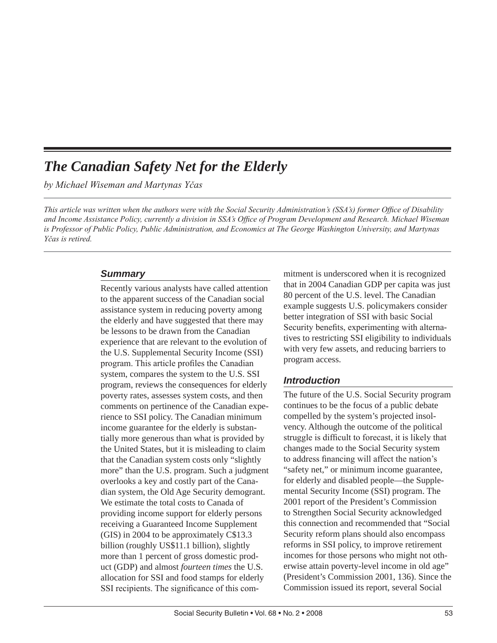# *The Canadian Safety Net for the Elderly*

*by Michael Wiseman and Martynas Yčas*

*This article was written when the authors were with the Social Security Administration's (SSA's) former Office of Disability and Income Assistance Policy, currently a division in SSA's Office of Program Development and Research. Michael Wiseman is Professor of Public Policy, Public Administration, and Economics at The George Washington University, and Martynas Yčas is retired.*

### *Summary*

Recently various analysts have called attention to the apparent success of the Canadian social assistance system in reducing poverty among the elderly and have suggested that there may be lessons to be drawn from the Canadian experience that are relevant to the evolution of the U.S. Supplemental Security Income (SSI) program. This article profiles the Canadian system, compares the system to the U.S. SSI program, reviews the consequences for elderly poverty rates, assesses system costs, and then comments on pertinence of the Canadian experience to SSI policy. The Canadian minimum income guarantee for the elderly is substantially more generous than what is provided by the United States, but it is misleading to claim that the Canadian system costs only "slightly more" than the U.S. program. Such a judgment overlooks a key and costly part of the Canadian system, the Old Age Security demogrant. We estimate the total costs to Canada of providing income support for elderly persons receiving a Guaranteed Income Supplement (GIS) in 2004 to be approximately C\$13.3 billion (roughly US\$11.1 billion), slightly more than 1 percent of gross domestic product (GDP) and almost *fourteen times* the U.S. allocation for SSI and food stamps for elderly SSI recipients. The significance of this commitment is underscored when it is recognized that in 2004 Canadian GDP per capita was just 80 percent of the U.S. level. The Canadian example suggests U.S. policymakers consider better integration of SSI with basic Social Security benefits, experimenting with alternatives to restricting SSI eligibility to individuals with very few assets, and reducing barriers to program access.

## *Introduction*

The future of the U.S. Social Security program continues to be the focus of a public debate compelled by the system's projected insolvency. Although the outcome of the political struggle is difficult to forecast, it is likely that changes made to the Social Security system to address financing will affect the nation's "safety net," or minimum income guarantee, for elderly and disabled people—the Supplemental Security Income (SSI) program. The 2001 report of the President's Commission to Strengthen Social Security acknowledged this connection and recommended that "Social Security reform plans should also encompass reforms in SSI policy, to improve retirement incomes for those persons who might not otherwise attain poverty-level income in old age" (President's Commission 2001, 136). Since the Commission issued its report, several Social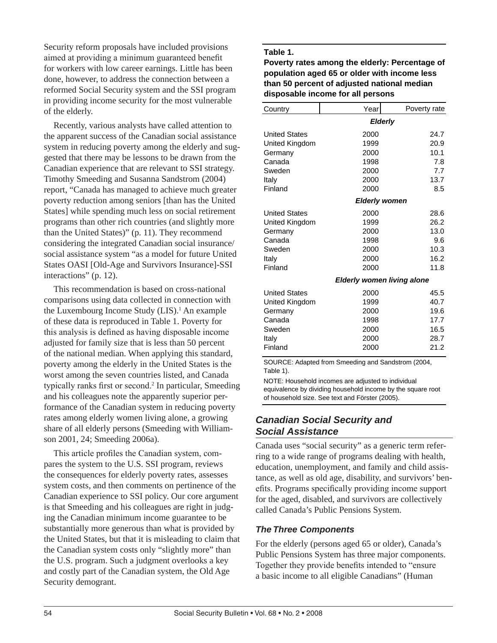Security reform proposals have included provisions aimed at providing a minimum guaranteed benefit for workers with low career earnings. Little has been done, however, to address the connection between a reformed Social Security system and the SSI program in providing income security for the most vulnerable of the elderly.

Recently, various analysts have called attention to the apparent success of the Canadian social assistance system in reducing poverty among the elderly and suggested that there may be lessons to be drawn from the Canadian experience that are relevant to SSI strategy. Timothy Smeeding and Susanna Sandstrom (2004) report, "Canada has managed to achieve much greater poverty reduction among seniors [than has the United States] while spending much less on social retirement programs than other rich countries (and slightly more than the United States)" (p. 11). They recommend considering the integrated Canadian social insurance/ social assistance system "as a model for future United States OASI [Old-Age and Survivors Insurance]-SSI interactions" (p. 12).

This recommendation is based on cross-national comparisons using data collected in connection with the Luxembourg Income Study (LIS).<sup>1</sup> An example of these data is reproduced in Table 1. Poverty for this analysis is defined as having disposable income adjusted for family size that is less than 50 percent of the national median. When applying this standard, poverty among the elderly in the United States is the worst among the seven countries listed, and Canada typically ranks first or second.<sup>2</sup> In particular, Smeeding and his colleagues note the apparently superior performance of the Canadian system in reducing poverty rates among elderly women living alone, a growing share of all elderly persons (Smeeding with Williamson 2001, 24; Smeeding 2006a).

This article profiles the Canadian system, compares the system to the U.S. SSI program, reviews the consequences for elderly poverty rates, assesses system costs, and then comments on pertinence of the Canadian experience to SSI policy. Our core argument is that Smeeding and his colleagues are right in judging the Canadian minimum income guarantee to be substantially more generous than what is provided by the United States, but that it is misleading to claim that the Canadian system costs only "slightly more" than the U.S. program. Such a judgment overlooks a key and costly part of the Canadian system, the Old Age Security demogrant.

### **Table 1.**

**Poverty rates among the elderly: Percentage of population aged 65 or older with income less than 50 percent of adjusted national median disposable income for all persons**

| Country              | Year                 | Poverty rate                      |  |  |
|----------------------|----------------------|-----------------------------------|--|--|
|                      |                      | <b>Elderly</b>                    |  |  |
| <b>United States</b> | 2000                 | 24.7                              |  |  |
| United Kingdom       | 1999                 | 20.9                              |  |  |
| Germany              | 2000                 | 10.1                              |  |  |
| Canada               | 1998                 | 7.8                               |  |  |
| Sweden               | 2000                 | 7.7                               |  |  |
| Italy                | 2000                 | 13.7                              |  |  |
| Finland              | 2000                 | 8.5                               |  |  |
|                      | <b>Elderly women</b> |                                   |  |  |
| <b>United States</b> | 2000                 | 28.6                              |  |  |
| United Kingdom       | 1999                 | 26.2                              |  |  |
| Germany              | 2000                 | 13.0                              |  |  |
| Canada               | 1998                 | 9.6                               |  |  |
| Sweden               | 2000                 | 10.3                              |  |  |
| Italy                | 2000                 | 16.2                              |  |  |
| Finland              | 2000                 | 11.8                              |  |  |
|                      |                      | <b>Elderly women living alone</b> |  |  |
| <b>United States</b> | 2000                 | 45.5                              |  |  |
| United Kingdom       | 1999                 | 40.7                              |  |  |
| Germany              | 2000                 | 19.6                              |  |  |
| Canada               | 1998                 | 17.7                              |  |  |
| Sweden               | 2000                 | 16.5                              |  |  |
| Italy                | 2000                 | 28.7                              |  |  |
| Finland              | 2000                 | 21.2                              |  |  |

SOURCE: Adapted from Smeeding and Sandstrom (2004, Table 1).

NOTE: Household incomes are adjusted to individual equivalence by dividing household income by the square root of household size. See text and Förster (2005).

## *Canadian Social Security and Social Assistance*

Canada uses "social security" as a generic term referring to a wide range of programs dealing with health, education, unemployment, and family and child assistance, as well as old age, disability, and survivors' benefits. Programs specifically providing income support for the aged, disabled, and survivors are collectively called Canada's Public Pensions System.

## *The Three Components*

For the elderly (persons aged 65 or older), Canada's Public Pensions System has three major components. Together they provide benefits intended to "ensure a basic income to all eligible Canadians" (Human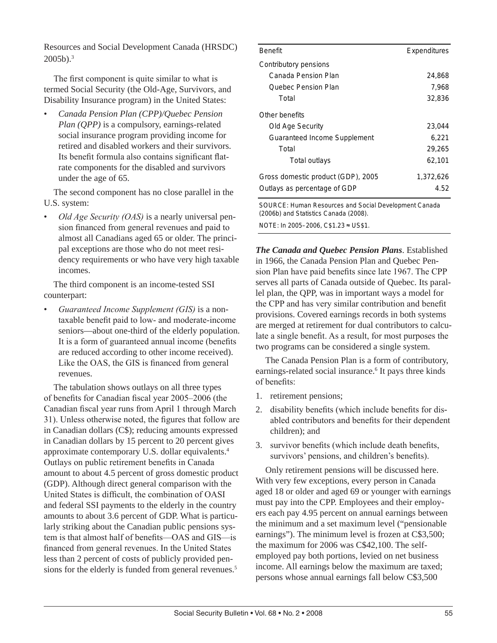Resources and Social Development Canada (HRSDC) 2005b).3

The first component is quite similar to what is termed Social Security (the Old-Age, Survivors, and Disability Insurance program) in the United States:

• *Canada Pension Plan (CPP)/Quebec Pension Plan (QPP)* is a compulsory, earnings-related social insurance program providing income for retired and disabled workers and their survivors. Its benefit formula also contains significant flatrate components for the disabled and survivors under the age of 65.

The second component has no close parallel in the U.S. system:

• *Old Age Security (OAS)* is a nearly universal pension financed from general revenues and paid to almost all Canadians aged 65 or older. The principal exceptions are those who do not meet residency requirements or who have very high taxable incomes.

The third component is an income-tested SSI counterpart:

• *Guaranteed Income Supplement (GIS)* is a nontaxable benefit paid to low- and moderate-income seniors—about one-third of the elderly population. It is a form of guaranteed annual income (benefits are reduced according to other income received). Like the OAS, the GIS is financed from general revenues.

The tabulation shows outlays on all three types of benefits for Canadian fiscal year 2005–2006 (the Canadian fiscal year runs from April 1 through March 31). Unless otherwise noted, the figures that follow are in Canadian dollars (C\$); reducing amounts expressed in Canadian dollars by 15 percent to 20 percent gives approximate contemporary U.S. dollar equivalents.4 Outlays on public retirement benefits in Canada amount to about 4.5 percent of gross domestic product (GDP). Although direct general comparison with the United States is difficult, the combination of OASI and federal SSI payments to the elderly in the country amounts to about 3.6 percent of GDP. What is particularly striking about the Canadian public pensions system is that almost half of benefits—OAS and GIS—is financed from general revenues. In the United States less than 2 percent of costs of publicly provided pensions for the elderly is funded from general revenues.<sup>5</sup>

| <b>Benefit</b>                                                                                 | Expenditures |  |  |
|------------------------------------------------------------------------------------------------|--------------|--|--|
| Contributory pensions                                                                          |              |  |  |
| Canada Pension Plan                                                                            | 24,868       |  |  |
| Quebec Pension Plan                                                                            | 7,968        |  |  |
| Total                                                                                          | 32,836       |  |  |
| Other benefits                                                                                 |              |  |  |
| Old Age Security                                                                               | 23,044       |  |  |
| Guaranteed Income Supplement                                                                   | 6,221        |  |  |
| Total                                                                                          | 29,265       |  |  |
| Total outlays                                                                                  | 62,101       |  |  |
| Gross domestic product (GDP), 2005                                                             | 1,372,626    |  |  |
| Outlays as percentage of GDP                                                                   | 4.52         |  |  |
| SOURCE: Human Resources and Social Development Canada<br>(2006b) and Statistics Canada (2008). |              |  |  |

NOTE: In 2005–2006, C\$1.23  $\approx$  US\$1.

*The Canada and Quebec Pension Plans*. Established in 1966, the Canada Pension Plan and Quebec Pension Plan have paid benefits since late 1967. The CPP serves all parts of Canada outside of Quebec. Its parallel plan, the QPP, was in important ways a model for the CPP and has very similar contribution and benefit provisions. Covered earnings records in both systems are merged at retirement for dual contributors to calculate a single benefit. As a result, for most purposes the two programs can be considered a single system.

The Canada Pension Plan is a form of contributory, earnings-related social insurance.<sup>6</sup> It pays three kinds of benefits:

- 1. retirement pensions;
- 2. disability benefits (which include benefits for disabled contributors and benefits for their dependent children); and
- 3. survivor benefits (which include death benefits, survivors' pensions, and children's benefits).

Only retirement pensions will be discussed here. With very few exceptions, every person in Canada aged 18 or older and aged 69 or younger with earnings must pay into the CPP. Employees and their employers each pay 4.95 percent on annual earnings between the minimum and a set maximum level ("pensionable earnings"). The minimum level is frozen at C\$3,500; the maximum for 2006 was C\$42,100. The selfemployed pay both portions, levied on net business income. All earnings below the maximum are taxed; persons whose annual earnings fall below C\$3,500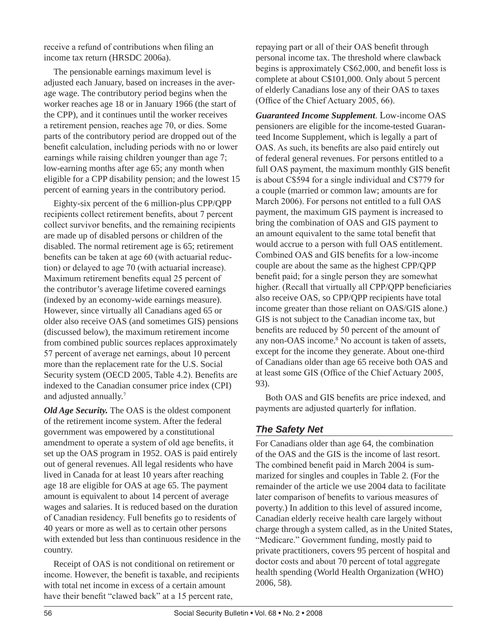receive a refund of contributions when filing an income tax return (HRSDC 2006a).

The pensionable earnings maximum level is adjusted each January, based on increases in the average wage. The contributory period begins when the worker reaches age 18 or in January 1966 (the start of the CPP), and it continues until the worker receives a retirement pension, reaches age 70, or dies. Some parts of the contributory period are dropped out of the benefit calculation, including periods with no or lower earnings while raising children younger than age 7; low-earning months after age 65; any month when eligible for a CPP disability pension; and the lowest 15 percent of earning years in the contributory period.

Eighty-six percent of the 6 million-plus CPP/QPP recipients collect retirement benefits, about 7 percent collect survivor benefits, and the remaining recipients are made up of disabled persons or children of the disabled. The normal retirement age is 65; retirement benefits can be taken at age 60 (with actuarial reduction) or delayed to age 70 (with actuarial increase). Maximum retirement benefits equal 25 percent of the contributor's average lifetime covered earnings (indexed by an economy-wide earnings measure). However, since virtually all Canadians aged 65 or older also receive OAS (and sometimes GIS) pensions (discussed below), the maximum retirement income from combined public sources replaces approximately 57 percent of average net earnings, about 10 percent more than the replacement rate for the U.S. Social Security system (OECD 2005, Table 4.2). Benefits are indexed to the Canadian consumer price index (CPI) and adjusted annually.<sup>7</sup>

*Old Age Security.* The OAS is the oldest component of the retirement income system. After the federal government was empowered by a constitutional amendment to operate a system of old age benefits, it set up the OAS program in 1952. OAS is paid entirely out of general revenues. All legal residents who have lived in Canada for at least 10 years after reaching age 18 are eligible for OAS at age 65. The payment amount is equivalent to about 14 percent of average wages and salaries. It is reduced based on the duration of Canadian residency. Full benefits go to residents of 40 years or more as well as to certain other persons with extended but less than continuous residence in the country.

Receipt of OAS is not conditional on retirement or income. However, the benefit is taxable, and recipients with total net income in excess of a certain amount have their benefit "clawed back" at a 15 percent rate,

repaying part or all of their OAS benefit through personal income tax. The threshold where clawback begins is approximately C\$62,000, and benefit loss is complete at about C\$101,000. Only about 5 percent of elderly Canadians lose any of their OAS to taxes (Office of the Chief Actuary 2005, 66).

*Guaranteed Income Supplement*. Low-income OAS pensioners are eligible for the income-tested Guaranteed Income Supplement, which is legally a part of OAS. As such, its benefits are also paid entirely out of federal general revenues. For persons entitled to a full OAS payment, the maximum monthly GIS benefit is about C\$594 for a single individual and C\$779 for a couple (married or common law; amounts are for March 2006). For persons not entitled to a full OAS payment, the maximum GIS payment is increased to bring the combination of OAS and GIS payment to an amount equivalent to the same total benefit that would accrue to a person with full OAS entitlement. Combined OAS and GIS benefits for a low-income couple are about the same as the highest CPP/QPP benefit paid; for a single person they are somewhat higher. (Recall that virtually all CPP/QPP beneficiaries also receive OAS, so CPP/QPP recipients have total income greater than those reliant on OAS/GIS alone.) GIS is not subject to the Canadian income tax, but benefits are reduced by 50 percent of the amount of any non-OAS income.<sup>8</sup> No account is taken of assets, except for the income they generate. About one-third of Canadians older than age 65 receive both OAS and at least some GIS (Office of the Chief Actuary 2005, 93).

Both OAS and GIS benefits are price indexed, and payments are adjusted quarterly for inflation.

## *The Safety Net*

For Canadians older than age 64, the combination of the OAS and the GIS is the income of last resort. The combined benefit paid in March 2004 is summarized for singles and couples in Table 2. (For the remainder of the article we use 2004 data to facilitate later comparison of benefits to various measures of poverty.) In addition to this level of assured income, Canadian elderly receive health care largely without charge through a system called, as in the United States, "Medicare." Government funding, mostly paid to private practitioners, covers 95 percent of hospital and doctor costs and about 70 percent of total aggregate health spending (World Health Organization (WHO) 2006, 58).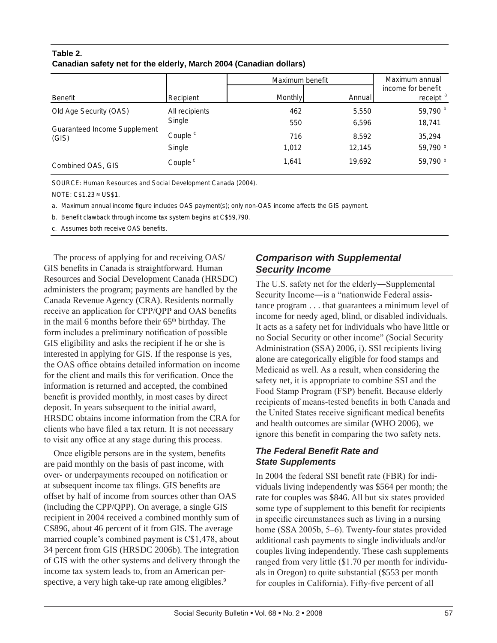## **Table 2. Canadian safety net for the elderly, March 2004 (Canadian dollars)**

|                                                                 |                     | Maximum benefit | Maximum annual |                                            |
|-----------------------------------------------------------------|---------------------|-----------------|----------------|--------------------------------------------|
| Benefit                                                         | Recipient           | Monthly         | Annuall        | income for benefit<br>receipt <sup>a</sup> |
| Old Age Security (OAS)<br>Guaranteed Income Supplement<br>(GIS) | All recipients      | 462             | 5,550          | 59,790 b                                   |
|                                                                 | Single              | 550             | 6,596          | 18,741                                     |
|                                                                 | Couple <sup>c</sup> | 716             | 8,592          | 35,294                                     |
|                                                                 | Single              | 1,012           | 12,145         | 59,790 b                                   |
| Combined OAS, GIS                                               | Couple <sup>c</sup> | 1.641           | 19,692         | 59,790 b                                   |

SOURCE: Human Resources and Social Development Canada (2004).

NOTE:  $C$1.23 \approx US$1.$ 

a. Maximum annual income figure includes OAS payment(s); only non-OAS income affects the GIS payment.

b. Benefit clawback through income tax system begins at C\$59,790.

c. Assumes both receive OAS benefits.

The process of applying for and receiving OAS/ GIS benefits in Canada is straightforward. Human Resources and Social Development Canada (HRSDC) administers the program; payments are handled by the Canada Revenue Agency (CRA). Residents normally receive an application for CPP/QPP and OAS benefits in the mail 6 months before their 65<sup>th</sup> birthday. The form includes a preliminary notification of possible GIS eligibility and asks the recipient if he or she is interested in applying for GIS. If the response is yes, the OAS office obtains detailed information on income for the client and mails this for verification. Once the information is returned and accepted, the combined benefit is provided monthly, in most cases by direct deposit. In years subsequent to the initial award, HRSDC obtains income information from the CRA for clients who have filed a tax return. It is not necessary to visit any office at any stage during this process.

Once eligible persons are in the system, benefits are paid monthly on the basis of past income, with over- or underpayments recouped on notification or at subsequent income tax filings. GIS benefits are offset by half of income from sources other than OAS (including the CPP/QPP). On average, a single GIS recipient in 2004 received a combined monthly sum of C\$896, about 46 percent of it from GIS. The average married couple's combined payment is C\$1,478, about 34 percent from GIS (HRSDC 2006b). The integration of GIS with the other systems and delivery through the income tax system leads to, from an American perspective, a very high take-up rate among eligibles.<sup>9</sup>

## *Comparison with Supplemental Security Income*

The U.S. safety net for the elderly―Supplemental Security Income―is a "nationwide Federal assistance program . . . that guarantees a minimum level of income for needy aged, blind, or disabled individuals. It acts as a safety net for individuals who have little or no Social Security or other income" (Social Security Administration (SSA) 2006, i). SSI recipients living alone are categorically eligible for food stamps and Medicaid as well. As a result, when considering the safety net, it is appropriate to combine SSI and the Food Stamp Program (FSP) benefit. Because elderly recipients of means-tested benefits in both Canada and the United States receive significant medical benefits and health outcomes are similar (WHO 2006), we ignore this benefit in comparing the two safety nets.

## *The Federal Benefit Rate and State Supplements*

In 2004 the federal SSI benefit rate (FBR) for individuals living independently was \$564 per month; the rate for couples was \$846. All but six states provided some type of supplement to this benefit for recipients in specific circumstances such as living in a nursing home (SSA 2005b, 5–6). Twenty-four states provided additional cash payments to single individuals and/or couples living independently. These cash supplements ranged from very little (\$1.70 per month for individuals in Oregon) to quite substantial (\$553 per month for couples in California). Fifty-five percent of all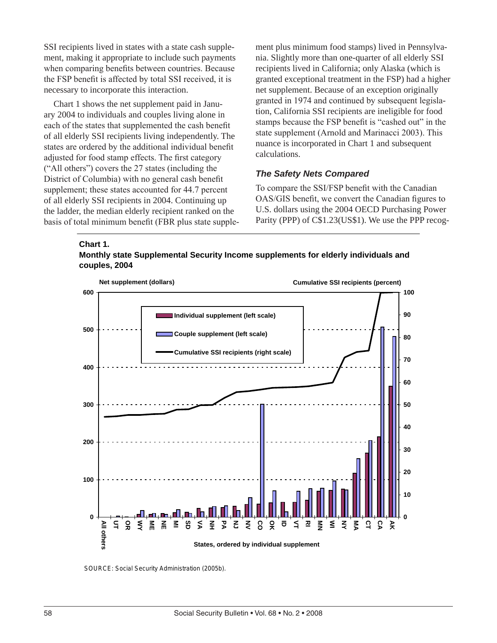SSI recipients lived in states with a state cash supplement, making it appropriate to include such payments when comparing benefits between countries. Because the FSP benefit is affected by total SSI received, it is necessary to incorporate this interaction.

Chart 1 shows the net supplement paid in January 2004 to individuals and couples living alone in each of the states that supplemented the cash benefit of all elderly SSI recipients living independently. The states are ordered by the additional individual benefit adjusted for food stamp effects. The first category ("All others") covers the 27 states (including the District of Columbia) with no general cash benefit supplement; these states accounted for 44.7 percent of all elderly SSI recipients in 2004. Continuing up the ladder, the median elderly recipient ranked on the basis of total minimum benefit (FBR plus state supplement plus minimum food stamps) lived in Pennsylvania. Slightly more than one-quarter of all elderly SSI recipients lived in California; only Alaska (which is granted exceptional treatment in the FSP) had a higher net supplement. Because of an exception originally granted in 1974 and continued by subsequent legislation, California SSI recipients are ineligible for food stamps because the FSP benefit is "cashed out" in the state supplement (Arnold and Marinacci 2003). This nuance is incorporated in Chart 1 and subsequent calculations.

#### *The Safety Nets Compared*

To compare the SSI/FSP benefit with the Canadian OAS/GIS benefit, we convert the Canadian figures to U.S. dollars using the 2004 OECD Purchasing Power Parity (PPP) of C\$1.23(US\$1). We use the PPP recog-





SOURCE: Social Security Administration (2005b).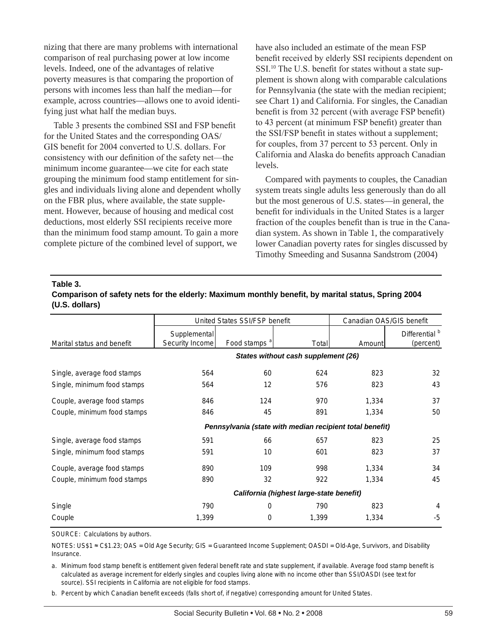nizing that there are many problems with international comparison of real purchasing power at low income levels. Indeed, one of the advantages of relative poverty measures is that comparing the proportion of persons with incomes less than half the median—for example, across countries—allows one to avoid identifying just what half the median buys.

Table 3 presents the combined SSI and FSP benefit for the United States and the corresponding OAS/ GIS benefit for 2004 converted to U.S. dollars. For consistency with our definition of the safety net—the minimum income guarantee—we cite for each state grouping the minimum food stamp entitlement for singles and individuals living alone and dependent wholly on the FBR plus, where available, the state supplement. However, because of housing and medical cost deductions, most elderly SSI recipients receive more than the minimum food stamp amount. To gain a more complete picture of the combined level of support, we

have also included an estimate of the mean FSP benefit received by elderly SSI recipients dependent on SSI.10 The U.S. benefit for states without a state supplement is shown along with comparable calculations for Pennsylvania (the state with the median recipient; see Chart 1) and California. For singles, the Canadian benefit is from 32 percent (with average FSP benefit) to 43 percent (at minimum FSP benefit) greater than the SSI/FSP benefit in states without a supplement; for couples, from 37 percent to 53 percent. Only in California and Alaska do benefits approach Canadian levels.

Compared with payments to couples, the Canadian system treats single adults less generously than do all but the most generous of U.S. states—in general, the benefit for individuals in the United States is a larger fraction of the couples benefit than is true in the Canadian system. As shown in Table 1, the comparatively lower Canadian poverty rates for singles discussed by Timothy Smeeding and Susanna Sandstrom (2004)

#### **Table 3.**

**Comparison of safety nets for the elderly: Maximum monthly benefit, by marital status, Spring 2004 (U.S. dollars)**

|                             | United States SSI/FSP benefit                            |                          |       | Canadian OAS/GIS benefit |                                        |
|-----------------------------|----------------------------------------------------------|--------------------------|-------|--------------------------|----------------------------------------|
| Marital status and benefit  | Supplemental<br>Security Income                          | Food stamps <sup>a</sup> | Total | Amount                   | Differential <sup>b</sup><br>(percent) |
|                             | States without cash supplement (26)                      |                          |       |                          |                                        |
| Single, average food stamps | 564                                                      | 60                       | 624   | 823                      | 32                                     |
| Single, minimum food stamps | 564                                                      | 12                       | 576   | 823                      | 43                                     |
| Couple, average food stamps | 846                                                      | 124                      | 970   | 1,334                    | 37                                     |
| Couple, minimum food stamps | 846                                                      | 45                       | 891   | 1,334                    | 50                                     |
|                             | Pennsylvania (state with median recipient total benefit) |                          |       |                          |                                        |
| Single, average food stamps | 591                                                      | 66                       | 657   | 823                      | 25                                     |
| Single, minimum food stamps | 591                                                      | 10                       | 601   | 823                      | 37                                     |
| Couple, average food stamps | 890                                                      | 109                      | 998   | 1,334                    | 34                                     |
| Couple, minimum food stamps | 890                                                      | 32                       | 922   | 1,334                    | 45                                     |
|                             | California (highest large-state benefit)                 |                          |       |                          |                                        |
| Single                      | 790                                                      | 0                        | 790   | 823                      | 4                                      |
| Couple                      | 1,399                                                    | $\Omega$                 | 1,399 | 1,334                    | -5                                     |

SOURCE: Calculations by authors.

Insurance. NOTES: US\$1 ≈ C\$1.23; OAS = Old Age Security; GIS = Guaranteed Income Supplement; OASDI = Old-Age, Survivors, and Disability

a. Minimum food stamp benefit is entitlement given federal benefit rate and state supplement, if available. Average food stamp benefit is calculated as average increment for elderly singles and couples living alone with no income other than SSI/OASDI (see text for source). SSI recipients in California are not eligible for food stamps.

b. Percent by which Canadian benefit exceeds (falls short of, if negative) corresponding amount for United States.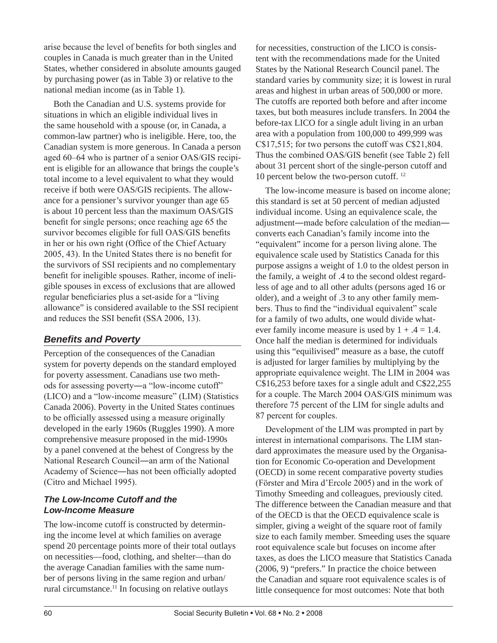arise because the level of benefits for both singles and couples in Canada is much greater than in the United States, whether considered in absolute amounts gauged by purchasing power (as in Table 3) or relative to the national median income (as in Table 1).

Both the Canadian and U.S. systems provide for situations in which an eligible individual lives in the same household with a spouse (or, in Canada, a common-law partner) who is ineligible. Here, too, the Canadian system is more generous. In Canada a person aged 60–64 who is partner of a senior OAS/GIS recipient is eligible for an allowance that brings the couple's total income to a level equivalent to what they would receive if both were OAS/GIS recipients. The allowance for a pensioner's survivor younger than age 65 is about 10 percent less than the maximum OAS/GIS benefit for single persons; once reaching age 65 the survivor becomes eligible for full OAS/GIS benefits in her or his own right (Office of the Chief Actuary 2005, 43). In the United States there is no benefit for the survivors of SSI recipients and no complementary benefit for ineligible spouses. Rather, income of ineligible spouses in excess of exclusions that are allowed regular beneficiaries plus a set-aside for a "living allowance" is considered available to the SSI recipient and reduces the SSI benefit (SSA 2006, 13).

## *Benefits and Poverty*

Perception of the consequences of the Canadian system for poverty depends on the standard employed for poverty assessment. Canadians use two methods for assessing poverty―a "low-income cutoff" (LICO) and a "low-income measure" (LIM) (Statistics Canada 2006). Poverty in the United States continues to be officially assessed using a measure originally developed in the early 1960s (Ruggles 1990). A more comprehensive measure proposed in the mid-1990s by a panel convened at the behest of Congress by the National Research Council―an arm of the National Academy of Science―has not been officially adopted (Citro and Michael 1995).

### *The Low-Income Cutoff and the Low-Income Measure*

The low-income cutoff is constructed by determining the income level at which families on average spend 20 percentage points more of their total outlays on necessities—food, clothing, and shelter—than do the average Canadian families with the same number of persons living in the same region and urban/ rural circumstance.11 In focusing on relative outlays

for necessities, construction of the LICO is consistent with the recommendations made for the United States by the National Research Council panel. The standard varies by community size; it is lowest in rural areas and highest in urban areas of 500,000 or more. The cutoffs are reported both before and after income taxes, but both measures include transfers. In 2004 the before-tax LICO for a single adult living in an urban area with a population from 100,000 to 499,999 was C\$17,515; for two persons the cutoff was C\$21,804. Thus the combined OAS/GIS benefit (see Table 2) fell about 31 percent short of the single-person cutoff and 10 percent below the two-person cutoff. 12

The low-income measure is based on income alone; this standard is set at 50 percent of median adjusted individual income. Using an equivalence scale, the adjustment―made before calculation of the median― converts each Canadian's family income into the "equivalent" income for a person living alone. The equivalence scale used by Statistics Canada for this purpose assigns a weight of 1.0 to the oldest person in the family, a weight of .4 to the second oldest regardless of age and to all other adults (persons aged 16 or older), and a weight of .3 to any other family members. Thus to find the "individual equivalent" scale for a family of two adults, one would divide whatever family income measure is used by  $1 + .4 = 1.4$ . Once half the median is determined for individuals using this "equilivised" measure as a base, the cutoff is adjusted for larger families by multiplying by the appropriate equivalence weight. The LIM in 2004 was C\$16,253 before taxes for a single adult and C\$22,255 for a couple. The March 2004 OAS/GIS minimum was therefore 75 percent of the LIM for single adults and 87 percent for couples.

Development of the LIM was prompted in part by interest in international comparisons. The LIM standard approximates the measure used by the Organisation for Economic Co-operation and Development (OECD) in some recent comparative poverty studies (Förster and Mira d'Ercole 2005) and in the work of Timothy Smeeding and colleagues, previously cited. The difference between the Canadian measure and that of the OECD is that the OECD equivalence scale is simpler, giving a weight of the square root of family size to each family member. Smeeding uses the square root equivalence scale but focuses on income after taxes, as does the LICO measure that Statistics Canada (2006, 9) "prefers." In practice the choice between the Canadian and square root equivalence scales is of little consequence for most outcomes: Note that both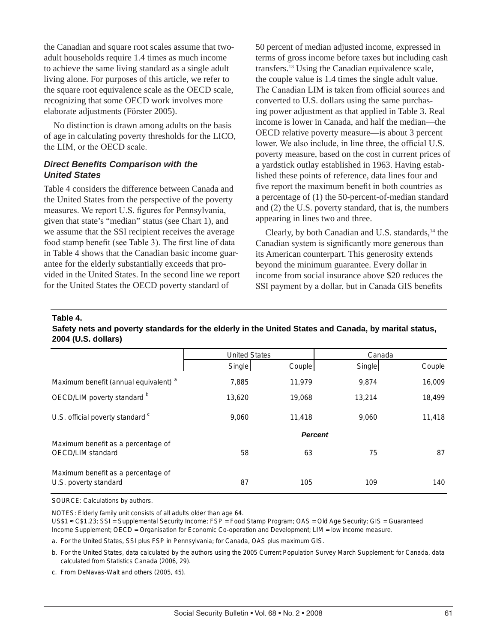the Canadian and square root scales assume that twoadult households require 1.4 times as much income to achieve the same living standard as a single adult living alone. For purposes of this article, we refer to the square root equivalence scale as the OECD scale, recognizing that some OECD work involves more elaborate adjustments (Förster 2005).

No distinction is drawn among adults on the basis of age in calculating poverty thresholds for the LICO, the LIM, or the OECD scale.

#### *Direct Benefits Comparison with the United States*

Table 4 considers the difference between Canada and the United States from the perspective of the poverty measures. We report U.S. figures for Pennsylvania, given that state's "median" status (see Chart 1), and we assume that the SSI recipient receives the average food stamp benefit (see Table 3). The first line of data in Table 4 shows that the Canadian basic income guarantee for the elderly substantially exceeds that provided in the United States. In the second line we report for the United States the OECD poverty standard of

50 percent of median adjusted income, expressed in terms of gross income before taxes but including cash transfers.13 Using the Canadian equivalence scale, the couple value is 1.4 times the single adult value. The Canadian LIM is taken from official sources and converted to U.S. dollars using the same purchasing power adjustment as that applied in Table 3. Real income is lower in Canada, and half the median—the OECD relative poverty measure—is about 3 percent lower. We also include, in line three, the official U.S. poverty measure, based on the cost in current prices of a yardstick outlay established in 1963. Having established these points of reference, data lines four and five report the maximum benefit in both countries as a percentage of (1) the 50-percent-of-median standard and (2) the U.S. poverty standard, that is, the numbers appearing in lines two and three.

Clearly, by both Canadian and U.S. standards,<sup>14</sup> the Canadian system is significantly more generous than its American counterpart. This generosity extends beyond the minimum guarantee. Every dollar in income from social insurance above \$20 reduces the SSI payment by a dollar, but in Canada GIS benefits

#### **Table 4.**

**Safety nets and poverty standards for the elderly in the United States and Canada, by marital status, 2004 (U.S. dollars)**

|                                                             | <b>United States</b> |        | Canada |        |
|-------------------------------------------------------------|----------------------|--------|--------|--------|
|                                                             | Single               | Couple | Single | Couple |
| Maximum benefit (annual equivalent) <sup>a</sup>            | 7,885                | 11,979 | 9,874  | 16,009 |
| OECD/LIM poverty standard b                                 | 13,620               | 19,068 | 13,214 | 18,499 |
| U.S. official poverty standard <sup>c</sup>                 | 9,060                | 11.418 | 9,060  | 11,418 |
|                                                             | <b>Percent</b>       |        |        |        |
| Maximum benefit as a percentage of<br>OECD/LIM standard     | 58                   | 63     | 75     | 87     |
| Maximum benefit as a percentage of<br>U.S. poverty standard | 87                   | 105    | 109    | 140    |

SOURCE: Calculations by authors.

NOTES: Elderly family unit consists of all adults older than age 64.

US\$1 § C\$1.23; SSI = Supplemental Security Income; FSP = Food Stamp Program; OAS = Old Age Security; GIS = Guaranteed Income Supplement; OECD = Organisation for Economic Co-operation and Development; LIM = low income measure.

a. For the United States, SSI plus FSP in Pennsylvania; for Canada, OAS plus maximum GIS.

b. For the United States, data calculated by the authors using the 2005 Current Population Survey March Supplement; for Canada, data calculated from Statistics Canada (2006, 29).

c. From DeNavas-Walt and others (2005, 45).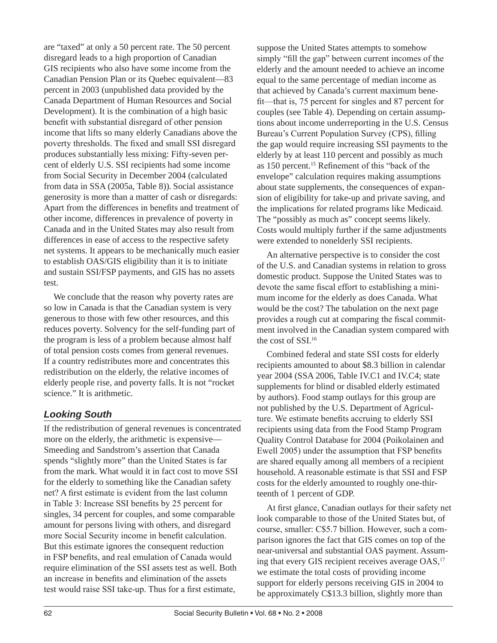are "taxed" at only a 50 percent rate. The 50 percent disregard leads to a high proportion of Canadian GIS recipients who also have some income from the Canadian Pension Plan or its Quebec equivalent—83 percent in 2003 (unpublished data provided by the Canada Department of Human Resources and Social Development). It is the combination of a high basic benefit with substantial disregard of other pension income that lifts so many elderly Canadians above the poverty thresholds. The fixed and small SSI disregard produces substantially less mixing: Fifty-seven percent of elderly U.S. SSI recipients had some income from Social Security in December 2004 (calculated from data in SSA (2005a, Table 8)). Social assistance generosity is more than a matter of cash or disregards: Apart from the differences in benefits and treatment of other income, differences in prevalence of poverty in Canada and in the United States may also result from differences in ease of access to the respective safety net systems. It appears to be mechanically much easier to establish OAS/GIS eligibility than it is to initiate and sustain SSI/FSP payments, and GIS has no assets test.

We conclude that the reason why poverty rates are so low in Canada is that the Canadian system is very generous to those with few other resources, and this reduces poverty. Solvency for the self-funding part of the program is less of a problem because almost half of total pension costs comes from general revenues. If a country redistributes more and concentrates this redistribution on the elderly, the relative incomes of elderly people rise, and poverty falls. It is not "rocket science." It is arithmetic.

# *Looking South*

If the redistribution of general revenues is concentrated more on the elderly, the arithmetic is expensive— Smeeding and Sandstrom's assertion that Canada spends "slightly more" than the United States is far from the mark. What would it in fact cost to move SSI for the elderly to something like the Canadian safety net? A first estimate is evident from the last column in Table 3: Increase SSI benefits by 25 percent for singles, 34 percent for couples, and some comparable amount for persons living with others, and disregard more Social Security income in benefit calculation. But this estimate ignores the consequent reduction in FSP benefits, and real emulation of Canada would require elimination of the SSI assets test as well. Both an increase in benefits and elimination of the assets test would raise SSI take-up. Thus for a first estimate,

suppose the United States attempts to somehow simply "fill the gap" between current incomes of the elderly and the amount needed to achieve an income equal to the same percentage of median income as that achieved by Canada's current maximum benefit—that is, 75 percent for singles and 87 percent for couples (see Table 4). Depending on certain assumptions about income underreporting in the U.S. Census Bureau's Current Population Survey (CPS), filling the gap would require increasing SSI payments to the elderly by at least 110 percent and possibly as much as 150 percent.15 Refinement of this "back of the envelope" calculation requires making assumptions about state supplements, the consequences of expansion of eligibility for take-up and private saving, and the implications for related programs like Medicaid. The "possibly as much as" concept seems likely. Costs would multiply further if the same adjustments were extended to nonelderly SSI recipients.

An alternative perspective is to consider the cost of the U.S. and Canadian systems in relation to gross domestic product. Suppose the United States was to devote the same fiscal effort to establishing a minimum income for the elderly as does Canada. What would be the cost? The tabulation on the next page provides a rough cut at comparing the fiscal commitment involved in the Canadian system compared with the cost of SSI.<sup>16</sup>

Combined federal and state SSI costs for elderly recipients amounted to about \$8.3 billion in calendar year 2004 (SSA 2006, Table IV.C1 and IV.C4; state supplements for blind or disabled elderly estimated by authors). Food stamp outlays for this group are not published by the U.S. Department of Agriculture. We estimate benefits accruing to elderly SSI recipients using data from the Food Stamp Program Quality Control Database for 2004 (Poikolainen and Ewell 2005) under the assumption that FSP benefits are shared equally among all members of a recipient household. A reasonable estimate is that SSI and FSP costs for the elderly amounted to roughly one-thirteenth of 1 percent of GDP.

At first glance, Canadian outlays for their safety net look comparable to those of the United States but, of course, smaller: C\$5.7 billion. However, such a comparison ignores the fact that GIS comes on top of the near-universal and substantial OAS payment. Assuming that every GIS recipient receives average OAS,<sup>17</sup> we estimate the total costs of providing income support for elderly persons receiving GIS in 2004 to be approximately C\$13.3 billion, slightly more than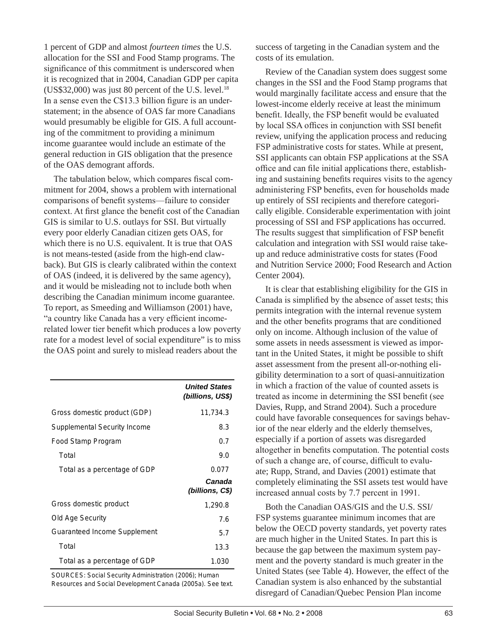1 percent of GDP and almost *fourteen times* the U.S. allocation for the SSI and Food Stamp programs. The significance of this commitment is underscored when it is recognized that in 2004, Canadian GDP per capita (US\$32,000) was just 80 percent of the U.S. level. $^{18}$ In a sense even the C\$13.3 billion figure is an understatement; in the absence of OAS far more Canadians would presumably be eligible for GIS. A full accounting of the commitment to providing a minimum income guarantee would include an estimate of the general reduction in GIS obligation that the presence of the OAS demogrant affords.

The tabulation below, which compares fiscal commitment for 2004, shows a problem with international comparisons of benefit systems—failure to consider context. At first glance the benefit cost of the Canadian GIS is similar to U.S. outlays for SSI. But virtually every poor elderly Canadian citizen gets OAS, for which there is no U.S. equivalent. It is true that OAS is not means-tested (aside from the high-end clawback). But GIS is clearly calibrated within the context of OAS (indeed, it is delivered by the same agency), and it would be misleading not to include both when describing the Canadian minimum income guarantee. To report, as Smeeding and Williamson (2001) have, "a country like Canada has a very efficient incomerelated lower tier benefit which produces a low poverty rate for a modest level of social expenditure" is to miss the OAS point and surely to mislead readers about the

*United States (billions, US\$)* Gross domestic product (GDP) 11,734.3 Supplemental Security Income 8.3 Food Stamp Program 0.7 Total 9.0 Total as a percentage of GDP 0.077 *Canada (billions, C\$)* Gross domestic product 1,290.8 Old Age Security 7.6 Guaranteed Income Supplement 5.7 Total 13.3 Total as a percentage of GDP 1.030

SOURCES: Social Security Administration (2006); Human Resources and Social Development Canada (2005a). See text. success of targeting in the Canadian system and the costs of its emulation.

Review of the Canadian system does suggest some changes in the SSI and the Food Stamp programs that would marginally facilitate access and ensure that the lowest-income elderly receive at least the minimum benefit. Ideally, the FSP benefit would be evaluated by local SSA offices in conjunction with SSI benefit review, unifying the application process and reducing FSP administrative costs for states. While at present, SSI applicants can obtain FSP applications at the SSA office and can file initial applications there, establishing and sustaining benefits requires visits to the agency administering FSP benefits, even for households made up entirely of SSI recipients and therefore categorically eligible. Considerable experimentation with joint processing of SSI and FSP applications has occurred. The results suggest that simplification of FSP benefit calculation and integration with SSI would raise takeup and reduce administrative costs for states (Food and Nutrition Service 2000; Food Research and Action Center 2004).

It is clear that establishing eligibility for the GIS in Canada is simplified by the absence of asset tests; this permits integration with the internal revenue system and the other benefits programs that are conditioned only on income. Although inclusion of the value of some assets in needs assessment is viewed as important in the United States, it might be possible to shift asset assessment from the present all-or-nothing eligibility determination to a sort of quasi-annuitization in which a fraction of the value of counted assets is treated as income in determining the SSI benefit (see Davies, Rupp, and Strand 2004). Such a procedure could have favorable consequences for savings behavior of the near elderly and the elderly themselves, especially if a portion of assets was disregarded altogether in benefits computation. The potential costs of such a change are, of course, difficult to evaluate; Rupp, Strand, and Davies (2001) estimate that completely eliminating the SSI assets test would have increased annual costs by 7.7 percent in 1991.

Both the Canadian OAS/GIS and the U.S. SSI/ FSP systems guarantee minimum incomes that are below the OECD poverty standards, yet poverty rates are much higher in the United States. In part this is because the gap between the maximum system payment and the poverty standard is much greater in the United States (see Table 4). However, the effect of the Canadian system is also enhanced by the substantial disregard of Canadian/Quebec Pension Plan income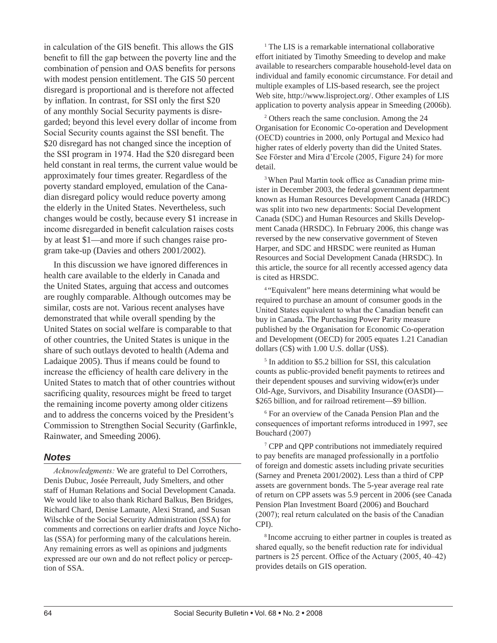in calculation of the GIS benefit. This allows the GIS benefit to fill the gap between the poverty line and the combination of pension and OAS benefits for persons with modest pension entitlement. The GIS 50 percent disregard is proportional and is therefore not affected by inflation. In contrast, for SSI only the first \$20 of any monthly Social Security payments is disregarded; beyond this level every dollar of income from Social Security counts against the SSI benefit. The \$20 disregard has not changed since the inception of the SSI program in 1974. Had the \$20 disregard been held constant in real terms, the current value would be approximately four times greater. Regardless of the poverty standard employed, emulation of the Canadian disregard policy would reduce poverty among the elderly in the United States. Nevertheless, such changes would be costly, because every \$1 increase in income disregarded in benefit calculation raises costs by at least \$1—and more if such changes raise program take-up (Davies and others 2001/2002).

In this discussion we have ignored differences in health care available to the elderly in Canada and the United States, arguing that access and outcomes are roughly comparable. Although outcomes may be similar, costs are not. Various recent analyses have demonstrated that while overall spending by the United States on social welfare is comparable to that of other countries, the United States is unique in the share of such outlays devoted to health (Adema and Ladaique 2005). Thus if means could be found to increase the efficiency of health care delivery in the United States to match that of other countries without sacrificing quality, resources might be freed to target the remaining income poverty among older citizens and to address the concerns voiced by the President's Commission to Strengthen Social Security (Garfinkle, Rainwater, and Smeeding 2006).

### *Notes*

*Acknowledgments:* We are grateful to Del Corrothers, Denis Dubuc, Josée Perreault, Judy Smelters, and other staff of Human Relations and Social Development Canada. We would like to also thank Richard Balkus, Ben Bridges, Richard Chard, Denise Lamaute, Alexi Strand, and Susan Wilschke of the Social Security Administration (SSA) for comments and corrections on earlier drafts and Joyce Nicholas (SSA) for performing many of the calculations herein. Any remaining errors as well as opinions and judgments expressed are our own and do not reflect policy or perception of SSA.

<sup>1</sup> The LIS is a remarkable international collaborative effort initiated by Timothy Smeeding to develop and make available to researchers comparable household-level data on individual and family economic circumstance. For detail and multiple examples of LIS-based research, see the project Web site, http://www.lisproject.org/. Other examples of LIS application to poverty analysis appear in Smeeding (2006b).

2 Others reach the same conclusion. Among the 24 Organisation for Economic Co-operation and Development (OECD) countries in 2000, only Portugal and Mexico had higher rates of elderly poverty than did the United States. See Förster and Mira d'Ercole (2005, Figure 24) for more detail.

<sup>3</sup> When Paul Martin took office as Canadian prime minister in December 2003, the federal government department known as Human Resources Development Canada (HRDC) was split into two new departments: Social Development Canada (SDC) and Human Resources and Skills Development Canada (HRSDC). In February 2006, this change was reversed by the new conservative government of Steven Harper, and SDC and HRSDC were reunited as Human Resources and Social Development Canada (HRSDC). In this article, the source for all recently accessed agency data is cited as HRSDC.

4 "Equivalent" here means determining what would be required to purchase an amount of consumer goods in the United States equivalent to what the Canadian benefit can buy in Canada. The Purchasing Power Parity measure published by the Organisation for Economic Co-operation and Development (OECD) for 2005 equates 1.21 Canadian dollars (C\$) with 1.00 U.S. dollar (US\$).

5 In addition to \$5.2 billion for SSI, this calculation counts as public-provided benefit payments to retirees and their dependent spouses and surviving widow(er)s under Old-Age, Survivors, and Disability Insurance (OASDI)— \$265 billion, and for railroad retirement—\$9 billion.

6 For an overview of the Canada Pension Plan and the consequences of important reforms introduced in 1997, see Bouchard (2007)

7 CPP and QPP contributions not immediately required to pay benefits are managed professionally in a portfolio of foreign and domestic assets including private securities (Sarney and Preneta 2001/2002). Less than a third of CPP assets are government bonds. The 5-year average real rate of return on CPP assets was 5.9 percent in 2006 (see Canada Pension Plan Investment Board (2006) and Bouchard (2007); real return calculated on the basis of the Canadian CPI).

8 Income accruing to either partner in couples is treated as shared equally, so the benefit reduction rate for individual partners is 25 percent. Office of the Actuary (2005, 40–42) provides details on GIS operation.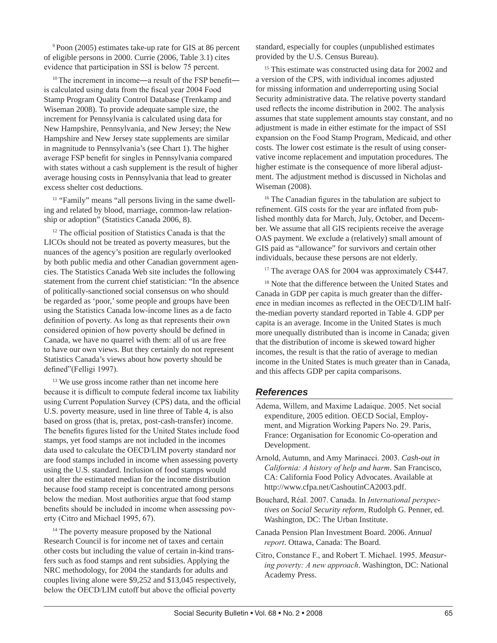9 Poon (2005) estimates take-up rate for GIS at 86 percent of eligible persons in 2000. Currie (2006, Table 3.1) cites evidence that participation in SSI is below 75 percent.

<sup>10</sup>The increment in income―a result of the FSP benefit― is calculated using data from the fiscal year 2004 Food Stamp Program Quality Control Database (Trenkamp and Wiseman 2008). To provide adequate sample size, the increment for Pennsylvania is calculated using data for New Hampshire, Pennsylvania, and New Jersey; the New Hampshire and New Jersey state supplements are similar in magnitude to Pennsylvania's (see Chart 1). The higher average FSP benefit for singles in Pennsylvania compared with states without a cash supplement is the result of higher average housing costs in Pennsylvania that lead to greater excess shelter cost deductions.

<sup>11</sup> "Family" means "all persons living in the same dwelling and related by blood, marriage, common-law relationship or adoption" (Statistics Canada 2006, 8).

<sup>12</sup> The official position of Statistics Canada is that the LICOs should not be treated as poverty measures, but the nuances of the agency's position are regularly overlooked by both public media and other Canadian government agencies. The Statistics Canada Web site includes the following statement from the current chief statistician: "In the absence of politically-sanctioned social consensus on who should be regarded as 'poor,' some people and groups have been using the Statistics Canada low-income lines as a de facto definition of poverty. As long as that represents their own considered opinion of how poverty should be defined in Canada, we have no quarrel with them: all of us are free to have our own views. But they certainly do not represent Statistics Canada's views about how poverty should be defined"(Felligi 1997).

<sup>13</sup> We use gross income rather than net income here because it is difficult to compute federal income tax liability using Current Population Survey (CPS) data, and the official U.S. poverty measure, used in line three of Table 4, is also based on gross (that is, pretax, post-cash-transfer) income. The benefits figures listed for the United States include food stamps, yet food stamps are not included in the incomes data used to calculate the OECD/LIM poverty standard nor are food stamps included in income when assessing poverty using the U.S. standard. Inclusion of food stamps would not alter the estimated median for the income distribution because food stamp receipt is concentrated among persons below the median. Most authorities argue that food stamp benefits should be included in income when assessing poverty (Citro and Michael 1995, 67).

<sup>14</sup> The poverty measure proposed by the National Research Council is for income net of taxes and certain other costs but including the value of certain in-kind transfers such as food stamps and rent subsidies. Applying the NRC methodology, for 2004 the standards for adults and couples living alone were \$9,252 and \$13,045 respectively, below the OECD/LIM cutoff but above the official poverty standard, especially for couples (unpublished estimates provided by the U.S. Census Bureau).

<sup>15</sup> This estimate was constructed using data for 2002 and a version of the CPS, with individual incomes adjusted for missing information and underreporting using Social Security administrative data. The relative poverty standard used reflects the income distribution in 2002. The analysis assumes that state supplement amounts stay constant, and no adjustment is made in either estimate for the impact of SSI expansion on the Food Stamp Program, Medicaid, and other costs. The lower cost estimate is the result of using conservative income replacement and imputation procedures. The higher estimate is the consequence of more liberal adjustment. The adjustment method is discussed in Nicholas and Wiseman (2008).

<sup>16</sup> The Canadian figures in the tabulation are subject to refinement. GIS costs for the year are inflated from published monthly data for March, July, October, and December. We assume that all GIS recipients receive the average OAS payment. We exclude a (relatively) small amount of GIS paid as "allowance" for survivors and certain other individuals, because these persons are not elderly.

<sup>17</sup> The average OAS for 2004 was approximately C\$447.

<sup>18</sup> Note that the difference between the United States and Canada in GDP per capita is much greater than the difference in median incomes as reflected in the OECD/LIM halfthe-median poverty standard reported in Table 4. GDP per capita is an average. Income in the United States is much more unequally distributed than is income in Canada; given that the distribution of income is skewed toward higher incomes, the result is that the ratio of average to median income in the United States is much greater than in Canada, and this affects GDP per capita comparisons.

#### *References*

- Adema, Willem, and Maxime Ladaique. 2005. Net social expenditure, 2005 edition. OECD Social, Employment, and Migration Working Papers No. 29. Paris, France: Organisation for Economic Co-operation and Development.
- Arnold, Autumn, and Amy Marinacci. 2003. *Cash-out in California: A history of help and harm*. San Francisco, CA: California Food Policy Advocates. Available at http://www.cfpa.net/CashoutinCA2003.pdf.
- Bouchard, Réal. 2007. Canada. In *International perspectives on Social Security reform*, Rudolph G. Penner, ed. Washington, DC: The Urban Institute.
- Canada Pension Plan Investment Board. 2006. *Annual report*. Ottawa, Canada: The Board.
- Citro, Constance F., and Robert T. Michael. 1995. *Measuring poverty: A new approach*. Washington, DC: National Academy Press.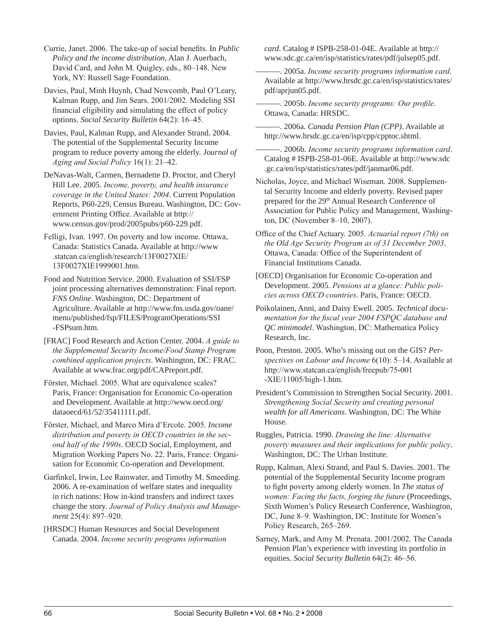Currie, Janet. 2006. The take-up of social benefits. In *Public Policy and the income distribution*, Alan J. Auerbach, David Card, and John M. Quigley, eds., 80–148. New York, NY: Russell Sage Foundation.

Davies, Paul, Minh Huynh, Chad Newcomb, Paul O'Leary, Kalman Rupp, and Jim Sears. 2001/2002. Modeling SSI financial eligibility and simulating the effect of policy options. *Social Security Bulletin* 64(2): 16–45.

Davies, Paul, Kalman Rupp, and Alexander Strand. 2004. The potential of the Supplemental Security Income program to reduce poverty among the elderly. *Journal of Aging and Social Policy* 16(1): 21–42.

DeNavas-Walt, Carmen, Bernadette D. Proctor, and Cheryl Hill Lee. 2005. *Income, poverty, and health insurance coverage in the United States: 2004*. Current Population Reports, P60-229, Census Bureau. Washington, DC: Government Printing Office. Available at http:// www.census.gov/prod/2005pubs/p60-229.pdf.

Felligi, Ivan. 1997. On poverty and low income. Ottawa, Canada: Statistics Canada. Available at http://www .statcan.ca/english/research/13F0027XIE/ 13F0027XIE1999001.htm.

Food and Nutrition Service. 2000. Evaluation of SSI/FSP joint processing alternatives demonstration: Final report. *FNS Online*. Washington, DC: Department of Agriculture. Available at http://www.fns.usda.gov/oane/ menu/published/fsp/FILES/ProgramOperations/SSI -FSPsum.htm.

[FRAC] Food Research and Action Center. 2004. *A guide to the Supplemental Security Income/Food Stamp Program combined application projects*. Washington, DC: FRAC. Available at www.frac.org/pdf/CAPreport.pdf.

Förster, Michael. 2005. What are equivalence scales? Paris, France: Organisation for Economic Co-operation and Development. Available at http://www.oecd.org/ dataoecd/61/52/35411111.pdf.

Förster, Michael, and Marco Mira d'Ercole. 2005. *Income distribution and poverty in OECD countries in the second half of the 1990s*. OECD Social, Employment, and Migration Working Papers No. 22. Paris, France: Organisation for Economic Co-operation and Development.

Garfinkel, Irwin, Lee Rainwater, and Timothy M. Smeeding. 2006. A re-examination of welfare states and inequality in rich nations: How in-kind transfers and indirect taxes change the story. *Journal of Policy Analysis and Management* 25(4): 897–920.

[HRSDC] Human Resources and Social Development Canada. 2004. *Income security programs information*  *card*. Catalog # ISPB-258-01-04E. Available at http:// www.sdc.gc.ca/en/isp/statistics/rates/pdf/julsep05.pdf.

———. 2005a. *Income security programs information card*. Available at http://www.hrsdc.gc.ca/en/isp/statistics/rates/ pdf/aprjun05.pdf.

———. 2005b. *Income security programs: Our profile*. Ottawa, Canada: HRSDC.

———. 2006a. *Canada Pension Plan (CPP)*. Available at http://www.hrsdc.gc.ca/en/isp/cpp/cpptoc.shtml.

———. 2006b. *Income security programs information card*. Catalog # ISPB-258-01-06E. Available at http://www.sdc .gc.ca/en/isp/statistics/rates/pdf/janmar06.pdf.

Nicholas, Joyce, and Michael Wiseman. 2008. Supplemental Security Income and elderly poverty. Revised paper prepared for the 29<sup>th</sup> Annual Research Conference of Association for Public Policy and Management, Washington, DC (November 8–10, 2007).

Office of the Chief Actuary. 2005. *Actuarial report (7th) on the Old Age Security Program as of 31 December 2003*. Ottawa, Canada: Office of the Superintendent of Financial Institutions Canada.

[OECD] Organisation for Economic Co-operation and Development. 2005. *Pensions at a glance: Public policies across OECD countries*. Paris, France: OECD.

Poikolainen, Anni, and Daisy Ewell. 2005. *Technical documentation for the fiscal year 2004 FSPQC database and QC minimodel*. Washington, DC: Mathematica Policy Research, Inc.

Poon, Preston. 2005. Who's missing out on the GIS? *Perspectives on Labour and Income* 6(10): 5–14. Available at http://www.statcan.ca/english/freepub/75-001 -XIE/11005/high-1.htm.

President's Commission to Strengthen Social Security. 2001. *Strengthening Social Security and creating personal wealth for all Americans*. Washington, DC: The White House.

Ruggles, Patricia. 1990. *Drawing the line: Alternative poverty measures and their implications for public policy*. Washington, DC: The Urban Institute.

Rupp, Kalman, Alexi Strand, and Paul S. Davies. 2001. The potential of the Supplemental Security Income program to fight poverty among elderly women. In *The status of women: Facing the facts, forging the future* (Proceedings, Sixth Women's Policy Research Conference, Washington, DC, June 8–9. Washington, DC: Institute for Women's Policy Research, 265–269.

Sarney, Mark, and Amy M. Prenata. 2001/2002. The Canada Pension Plan's experience with investing its portfolio in equities. *Social Security Bulletin* 64(2): 46–56.